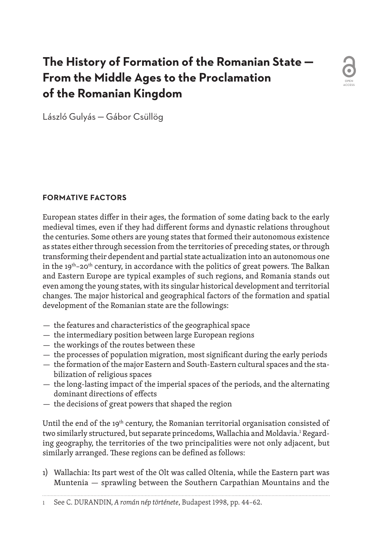# **The History of Formation of the Romanian State — From the Middle Ages to the Proclamation of the Romanian Kingdom**



László Gulyás — Gábor Csüllög

# **FORMATIVE FACTORS**

European states differ in their ages, the formation of some dating back to the early medieval times, even if they had different forms and dynastic relations throughout the centuries. Some others are young states that formed their autonomous existence as states either through secession from the territories of preceding states, or through transforming their dependent and partial state actualization into an autonomous one in the  $19<sup>th</sup>-20<sup>th</sup>$  century, in accordance with the politics of great powers. The Balkan and Eastern Europe are typical examples of such regions, and Romania stands out even among the young states, with its singular historical development and territorial changes. The major historical and geographical factors of the formation and spatial development of the Romanian state are the followings:

- the features and characteristics of the geographical space
- the intermediary position between large European regions
- the workings of the routes between these
- the processes of population migration, most significant during the early periods
- the formation of the major Eastern and South-Eastern cultural spaces and the stabilization of religious spaces
- the long-lasting impact of the imperial spaces of the periods, and the alternating dominant directions of effects
- the decisions of great powers that shaped the region

Until the end of the  $19<sup>th</sup>$  century, the Romanian territorial organisation consisted of two similarly structured, but separate princedoms, Wallachia and Moldavia.<sup>ı</sup> Regarding geography, the territories of the two principalities were not only adjacent, but similarly arranged. These regions can be defined as follows:

1) Wallachia: Its part west of the Olt was called Oltenia, while the Eastern part was Muntenia — sprawling between the Southern Carpathian Mountains and the

1 See C. DURANDIN, *A román nép története*, Budapest 1998, pp. 44–62.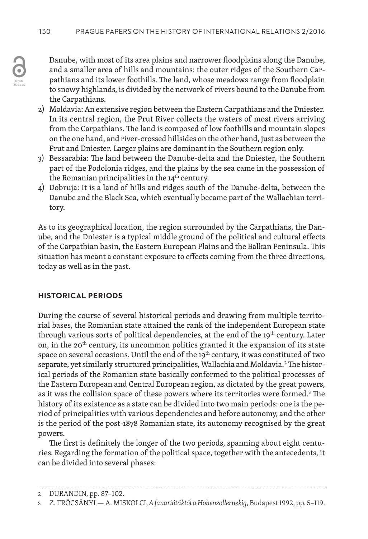Danube, with most of its area plains and narrower floodplains along the Danube, and a smaller area of hills and mountains: the outer ridges of the Southern Carpathians and its lower foothills. The land, whose meadows range from floodplain to snowy highlands, is divided by the network of rivers bound to the Danube from the Carpathians.

- 2) Moldavia: An extensive region between the Eastern Carpathians and the Dniester. In its central region, the Prut River collects the waters of most rivers arriving from the Carpathians. The land is composed of low foothills and mountain slopes on the one hand, and river-crossed hillsides on the other hand, just as between the Prut and Dniester. Larger plains are dominant in the Southern region only.
- 3) Bessarabia: The land between the Danube-delta and the Dniester, the Southern part of the Podolonia ridges, and the plains by the sea came in the possession of the Romanian principalities in the 14<sup>th</sup> century.
- 4) Dobruja: It is a land of hills and ridges south of the Danube-delta, between the Danube and the Black Sea, which eventually became part of the Wallachian territory.

As to its geographical location, the region surrounded by the Carpathians, the Danube, and the Dniester is a typical middle ground of the political and cultural effects of the Carpathian basin, the Eastern European Plains and the Balkan Peninsula. This situation has meant a constant exposure to effects coming from the three directions, today as well as in the past.

# **HISTORICAL PERIODS**

During the course of several historical periods and drawing from multiple territorial bases, the Romanian state attained the rank of the independent European state through various sorts of political dependencies, at the end of the 19<sup>th</sup> century. Later on, in the 20<sup>th</sup> century, its uncommon politics granted it the expansion of its state space on several occasions. Until the end of the 19<sup>th</sup> century, it was constituted of two separate, yet similarly structured principalities, Wallachia and Moldavia.<sup>2</sup> The historical periods of the Romanian state basically conformed to the political processes of the Eastern European and Central European region, as dictated by the great powers, as it was the collision space of these powers where its territories were formed.<sup>3</sup> The history of its existence as a state can be divided into two main periods: one is the period of principalities with various dependencies and before autonomy, and the other is the period of the post-1878 Romanian state, its autonomy recognised by the great powers.

The first is definitely the longer of the two periods, spanning about eight centuries. Regarding the formation of the political space, together with the antecedents, it can be divided into several phases:

<sup>2</sup> DURANDIN, pp. 87–102.

<sup>3</sup> Z. TRÓCSÁNYI — A. MISKOLCI, *A fanariótáktól a Hohenzollernekig*, Budapest 1992, pp. 5–119.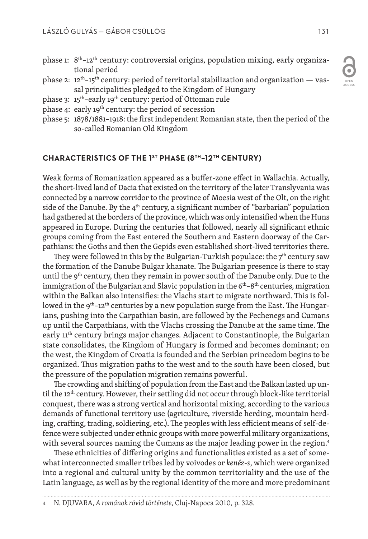- phase 1: 8<sup>th</sup>-12<sup>th</sup> century: controversial origins, population mixing, early organizational period
- phase 2:  $12<sup>th</sup>$ -15<sup>th</sup> century: period of territorial stabilization and organization vassal principalities pledged to the Kingdom of Hungary
- phase 3: 15th–early 19th century: period of Ottoman rule
- phase 4: early 19<sup>th</sup> century: the period of secession
- phase 5: 1878/1881–1918: the first independent Romanian state, then the period of the so-called Romanian Old Kingdom

### **CHARACTERISTICS OF THE 1ST PHASE (8TH–12TH CENTURY)**

Weak forms of Romanization appeared as a buffer-zone effect in Wallachia. Actually, the short-lived land of Dacia that existed on the territory of the later Translyvania was connected by a narrow corridor to the province of Moesia west of the Olt, on the right side of the Danube. By the  $4<sup>th</sup>$  century, a significant number of "barbarian" population had gathered at the borders of the province, which was only intensified when the Huns appeared in Europe. During the centuries that followed, nearly all significant ethnic groups coming from the East entered the Southern and Eastern doorway of the Carpathians: the Goths and then the Gepids even established short-lived territories there.

They were followed in this by the Bulgarian-Turkish populace: the  $7<sup>th</sup>$  century saw the formation of the Danube Bulgar khanate. The Bulgarian presence is there to stay until the  $9<sup>th</sup>$  century, then they remain in power south of the Danube only. Due to the immigration of the Bulgarian and Slavic population in the  $6<sup>th</sup>–8<sup>th</sup>$  centuries, migration within the Balkan also intensifies: the Vlachs start to migrate northward. This is followed in the 9<sup>th</sup>-12<sup>th</sup> centuries by a new population surge from the East. The Hungarians, pushing into the Carpathian basin, are followed by the Pechenegs and Cumans up until the Carpathians, with the Vlachs crossing the Danube at the same time. The early 11<sup>th</sup> century brings major changes. Adjacent to Constantinople, the Bulgarian state consolidates, the Kingdom of Hungary is formed and becomes dominant; on the west, the Kingdom of Croatia is founded and the Serbian princedom begins to be organized. Thus migration paths to the west and to the south have been closed, but the pressure of the population migration remains powerful.

The crowding and shifting of population from the East and the Balkan lasted up until the  $12<sup>th</sup>$  century. However, their settling did not occur through block-like territorial conquest, there was a strong vertical and horizontal mixing, according to the various demands of functional territory use (agriculture, riverside herding, mountain herding, crafting, trading, soldiering, etc.). The peoples with less efficient means of self-defence were subjected under ethnic groups with more powerful military organizations, with several sources naming the Cumans as the major leading power in the region.<sup>4</sup>

These ethnicities of differing origins and functionalities existed as a set of somewhat interconnected smaller tribes led by voivodes or *kenéz-s*, which were organized into a regional and cultural unity by the common territoriality and the use of the Latin language, as well as by the regional identity of the more and more predominant

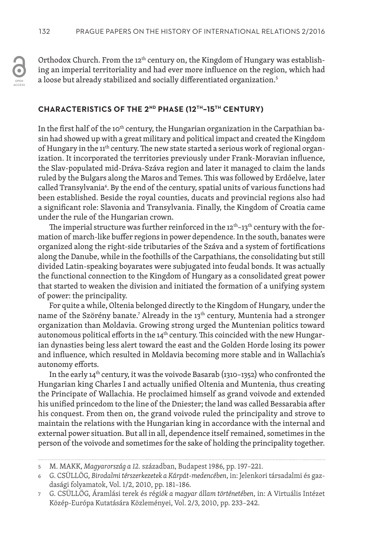Orthodox Church. From the 12<sup>th</sup> century on, the Kingdom of Hungary was establishing an imperial territoriality and had ever more influence on the region, which had a loose but already stabilized and socially differentiated organization.<sup>5</sup>

## **CHARACTERISTICS OF THE 2ND PHASE (12TH–15TH CENTURY)**

In the first half of the 10<sup>th</sup> century, the Hungarian organization in the Carpathian basin had showed up with a great military and political impact and created the Kingdom of Hungary in the 11<sup>th</sup> century. The new state started a serious work of regional organization. It incorporated the territories previously under Frank-Moravian influence, the Slav-populated mid-Dráva-Száva region and later it managed to claim the lands ruled by the Bulgars along the Maros and Temes. This was followed by Erdőelve, later called Transylvania6 . By the end of the century, spatial units of various functions had been established. Beside the royal counties, ducats and provincial regions also had a significant role: Slavonia and Transylvania. Finally, the Kingdom of Croatia came under the rule of the Hungarian crown.

The imperial structure was further reinforced in the  $12^{\text{th}}-13^{\text{th}}$  century with the formation of march-like buffer regions in power dependence. In the south, banates were organized along the right-side tributaries of the Száva and a system of fortifications along the Danube, while in the foothills of the Carpathians, the consolidating but still divided Latin-speaking boyarates were subjugated into feudal bonds. It was actually the functional connection to the Kingdom of Hungary as a consolidated great power that started to weaken the division and initiated the formation of a unifying system of power: the principality.

For quite a while, Oltenia belonged directly to the Kingdom of Hungary, under the name of the Szörény banate.<sup>7</sup> Already in the 13<sup>th</sup> century, Muntenia had a stronger organization than Moldavia. Growing strong urged the Muntenian politics toward autonomous political efforts in the 14<sup>th</sup> century. This coincided with the new Hungarian dynasties being less alert toward the east and the Golden Horde losing its power and influence, which resulted in Moldavia becoming more stable and in Wallachia's autonomy efforts.

In the early 14<sup>th</sup> century, it was the voivode Basarab (1310-1352) who confronted the Hungarian king Charles I and actually unified Oltenia and Muntenia, thus creating the Principate of Wallachia. He proclaimed himself as grand voivode and extended his unified princedom to the line of the Dniester; the land was called Bessarabia after his conquest. From then on, the grand voivode ruled the principality and strove to maintain the relations with the Hungarian king in accordance with the internal and external power situation. But all in all, dependence itself remained, sometimes in the person of the voivode and sometimes for the sake of holding the principality together.

<sup>5</sup> M. MAKK, *Magyarország a 12.* században, Budapest 1986, pp. 197–221.

<sup>6</sup> G. CSÜLLÖG, *Birodalmi térszerkezetek a Kárpát-medencében*, in: Jelenkori társadalmi és gazdasági folyamatok, Vol. 1/2, 2010, pp. 181–186.

<sup>7</sup> G. CSÜLLÖG, Áramlási terek és rég*iók a magyar állam történetében*, in: A Virtuális Intézet Közép-Európa Kutatására Közleményei, Vol. 2/3, 2010, pp. 233–242.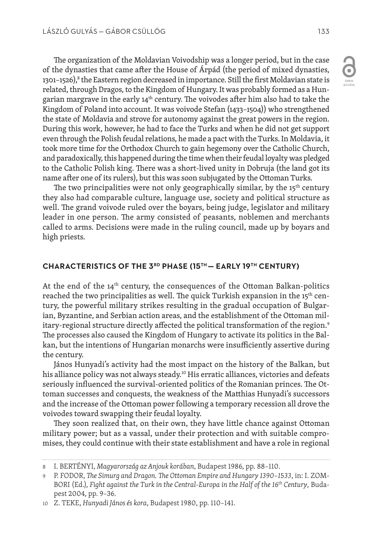The organization of the Moldavian Voivodship was a longer period, but in the case of the dynasties that came after the House of Árpád (the period of mixed dynasties, 1301–1526), $^8$  the Eastern region decreased in importance. Still the first Moldavian state is related, through Dragos, to the Kingdom of Hungary. It was probably formed as a Hungarian margrave in the early  $14<sup>th</sup>$  century. The voivodes after him also had to take the Kingdom of Poland into account. It was voivode Stefan (1433–1504)) who strengthened the state of Moldavia and strove for autonomy against the great powers in the region. During this work, however, he had to face the Turks and when he did not get support even through the Polish feudal relations, he made a pact with the Turks. In Moldavia, it took more time for the Orthodox Church to gain hegemony over the Catholic Church, and paradoxically, this happened during the time when their feudal loyalty was pledged to the Catholic Polish king. There was a short-lived unity in Dobruja (the land got its name after one of its rulers), but this was soon subjugated by the Ottoman Turks.

The two principalities were not only geographically similar, by the  $15<sup>th</sup>$  century they also had comparable culture, language use, society and political structure as well. The grand voivode ruled over the boyars, being judge, legislator and military leader in one person. The army consisted of peasants, noblemen and merchants called to arms. Decisions were made in the ruling council, made up by boyars and high priests.

#### **CHARACTERISTICS OF THE 3RD PHASE (15TH — EARLY 19TH CENTURY)**

At the end of the  $14<sup>th</sup>$  century, the consequences of the Ottoman Balkan-politics reached the two principalities as well. The quick Turkish expansion in the 15<sup>th</sup> century, the powerful military strikes resulting in the gradual occupation of Bulgarian, Byzantine, and Serbian action areas, and the establishment of the Ottoman military-regional structure directly affected the political transformation of the region.9 The processes also caused the Kingdom of Hungary to activate its politics in the Balkan, but the intentions of Hungarian monarchs were insufficiently assertive during the century.

János Hunyadi's activity had the most impact on the history of the Balkan, but his alliance policy was not always steady.<sup>10</sup> His erratic alliances, victories and defeats seriously influenced the survival-oriented politics of the Romanian princes. The Ottoman successes and conquests, the weakness of the Matthias Hunyadi's successors and the increase of the Ottoman power following a temporary recession all drove the voivodes toward swapping their feudal loyalty.

They soon realized that, on their own, they have little chance against Ottoman military power; but as a vassal, under their protection and with suitable compromises, they could continue with their state establishment and have a role in regional

OPEN ACCESS

<sup>8</sup> I. BERTÉNYI, *Magyarország az Anjouk korában*, Budapest 1986, pp. 88–110.

<sup>9</sup> P. FODOR, *The Simurg and Dragon. The Ottoman Empire and Hungary 1390–1*5*33*, in: I. ZOM-BORI (Ed.), *Fight against the Turk in the Central-Europa in the Half of the 16th Century*, Budapest 2004, pp. 9–36.

<sup>10</sup> Z. TEKE, *Hunyadi János és kora*, Budapest 1980, pp. 110–141.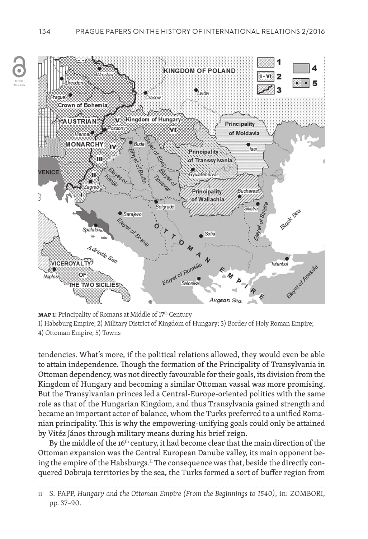

**MAP 1:** Principality of Romans at Middle of 17<sup>th</sup> Century 1) Habsburg Empire; 2) Military District of Kingdom of Hungary; 3) Border of Holy Roman Empire; 4) Ottoman Empire; 5) Towns

tendencies. What's more, if the political relations allowed, they would even be able to attain independence. Though the formation of the Principality of Transylvania in Ottoman dependency, was not directly favourable for their goals, its division from the Kingdom of Hungary and becoming a similar Ottoman vassal was more promising. But the Transylvanian princes led a Central-Europe-oriented politics with the same role as that of the Hungarian Kingdom, and thus Transylvania gained strength and became an important actor of balance, whom the Turks preferred to a unified Romanian principality. This is why the empowering-unifying goals could only be attained by Vitéz János through military means during his brief reign.

By the middle of the 16<sup>th</sup> century, it had become clear that the main direction of the Ottoman expansion was the Central European Danube valley, its main opponent being the empire of the Habsburgs.<sup>11</sup> The consequence was that, beside the directly conquered Dobruja territories by the sea, the Turks formed a sort of buffer region from

OPEN ACCESS

<sup>11</sup> S. PAPP, *Hungary and the Ottoman Empire (From the Beginnings to 1540)*, in: ZOMBORI, pp. 37–90.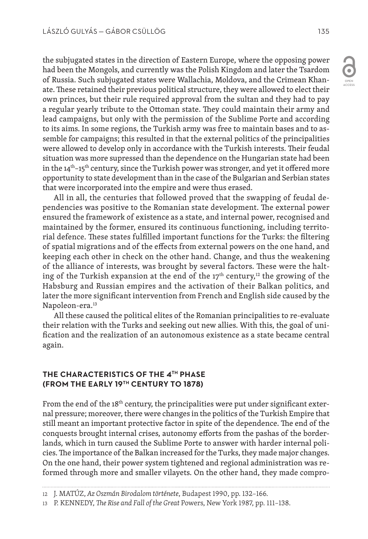the subjugated states in the direction of Eastern Europe, where the opposing power had been the Mongols, and currently was the Polish Kingdom and later the Tsardom of Russia. Such subjugated states were Wallachia, Moldova, and the Crimean Khanate. These retained their previous political structure, they were allowed to elect their own princes, but their rule required approval from the sultan and they had to pay a regular yearly tribute to the Ottoman state. They could maintain their army and lead campaigns, but only with the permission of the Sublime Porte and according to its aims. In some regions, the Turkish army was free to maintain bases and to assemble for campaigns; this resulted in that the external politics of the principalities were allowed to develop only in accordance with the Turkish interests. Their feudal situation was more supressed than the dependence on the Hungarian state had been in the  $14<sup>th</sup>$ –15<sup>th</sup> century, since the Turkish power was stronger, and yet it offered more opportunity to state development than in the case of the Bulgarian and Serbian states that were incorporated into the empire and were thus erased.

All in all, the centuries that followed proved that the swapping of feudal dependencies was positive to the Romanian state development. The external power ensured the framework of existence as a state, and internal power, recognised and maintained by the former, ensured its continuous functioning, including territorial defence. These states fulfilled important functions for the Turks: the filtering of spatial migrations and of the effects from external powers on the one hand, and keeping each other in check on the other hand. Change, and thus the weakening of the alliance of interests, was brought by several factors. These were the halting of the Turkish expansion at the end of the  $17<sup>th</sup>$  century,<sup>12</sup> the growing of the Habsburg and Russian empires and the activation of their Balkan politics, and later the more significant intervention from French and English side caused by the Napoleon-era.<sup>13</sup>

All these caused the political elites of the Romanian principalities to re-evaluate their relation with the Turks and seeking out new allies. With this, the goal of unification and the realization of an autonomous existence as a state became central again.

## **THE CHARACTERISTICS OF THE 4TH PHASE (FROM THE EARLY 19TH CENTURY TO 1878)**

From the end of the  $18<sup>th</sup>$  century, the principalities were put under significant external pressure; moreover, there were changes in the politics of the Turkish Empire that still meant an important protective factor in spite of the dependence. The end of the conquests brought internal crises, autonomy efforts from the pashas of the borderlands, which in turn caused the Sublime Porte to answer with harder internal policies. The importance of the Balkan increased for the Turks, they made major changes. On the one hand, their power system tightened and regional administration was reformed through more and smaller vilayets. On the other hand, they made compro-



<sup>12</sup> J. MATÚZ, *Az Oszmán Birodalom története*, Budapest 1990, pp. 132–166.

<sup>13</sup> P. KENNEDY, *The Rise and Fall of the Great* Powers, New York 1987, pp. 111–138.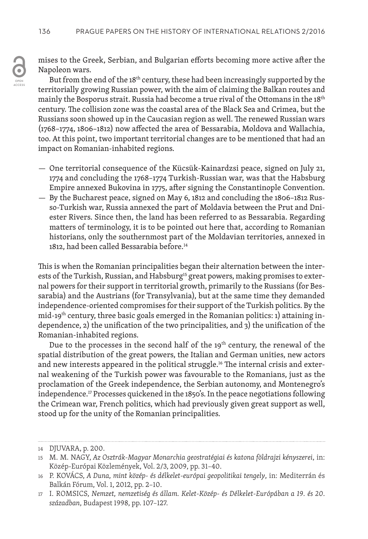

But from the end of the 18<sup>th</sup> century, these had been increasingly supported by the territorially growing Russian power, with the aim of claiming the Balkan routes and mainly the Bosporus strait. Russia had become a true rival of the Ottomans in the 18<sup>th</sup> century. The collision zone was the coastal area of the Black Sea and Crimea, but the Russians soon showed up in the Caucasian region as well. The renewed Russian wars (1768–1774, 1806–1812) now affected the area of Bessarabia, Moldova and Wallachia, too. At this point, two important territorial changes are to be mentioned that had an impact on Romanian-inhabited regions.

- One territorial consequence of the Kücsük-Kainardzsi peace, signed on July 21, 1774 and concluding the 1768–1774 Turkish-Russian war, was that the Habsburg Empire annexed Bukovina in 1775, after signing the Constantinople Convention.
- By the Bucharest peace, signed on May 6, 1812 and concluding the 1806–1812 Russo-Turkish war, Russia annexed the part of Moldavia between the Prut and Dniester Rivers. Since then, the land has been referred to as Bessarabia. Regarding matters of terminology, it is to be pointed out here that, according to Romanian historians, only the southernmost part of the Moldavian territories, annexed in 1812, had been called Bessarabia before.<sup>14</sup>

This is when the Romanian principalities began their alternation between the interests of the Turkish, Russian, and Habsburg<sup>15</sup> great powers, making promises to external powers for their support in territorial growth, primarily to the Russians (for Bessarabia) and the Austrians (for Transylvania), but at the same time they demanded independence-oriented compromises for their support of the Turkish politics. By the mid-19<sup>th</sup> century, three basic goals emerged in the Romanian politics: 1) attaining independence, 2) the unification of the two principalities, and 3) the unification of the Romanian-inhabited regions.

Due to the processes in the second half of the  $19<sup>th</sup>$  century, the renewal of the spatial distribution of the great powers, the Italian and German unities, new actors and new interests appeared in the political struggle.<sup>16</sup> The internal crisis and external weakening of the Turkish power was favourable to the Romanians, just as the proclamation of the Greek independence, the Serbian autonomy, and Montenegro's independence.<sup>17</sup> Processes quickened in the 1850's. In the peace negotiations following the Crimean war, French politics, which had previously given great support as well, stood up for the unity of the Romanian principalities.

ACCESS

<sup>14</sup> DJUVARA, p. 200.

<sup>15</sup> M. M. NAGY, *Az Osztrák-Magyar Monarchia geostratégiai és katona földrajzi kényszerei*, in: Közép-Európai Közlemények, Vol. 2/3, 2009, pp. 31–40.

<sup>16</sup> P. KOVÁCS, *A Duna, mint közép- és délkelet-európai geopolitikai tengely*, in: Mediterrán és Balkán Fórum, Vol. 1, 2012, pp. 2–10.

<sup>17</sup> I. ROMSICS, *Nemzet, nemzetiség és állam. Kelet-Közép- és Délkelet-Európában a 19. és 20. században*, Budapest 1998, pp. 107–127.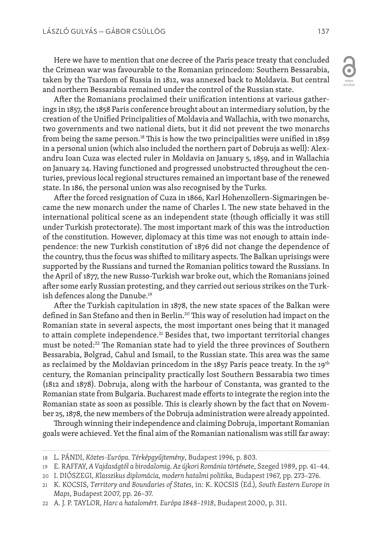Here we have to mention that one decree of the Paris peace treaty that concluded the Crimean war was favourable to the Romanian princedom: Southern Bessarabia, taken by the Tsardom of Russia in 1812, was annexed back to Moldavia. But central and northern Bessarabia remained under the control of the Russian state.

After the Romanians proclaimed their unification intentions at various gatherings in 1857, the 1858 Paris conference brought about an intermediary solution, by the creation of the Unified Principalities of Moldavia and Wallachia, with two monarchs, two governments and two national diets, but it did not prevent the two monarchs from being the same person.<sup>18</sup> This is how the two principalities were unified in 1859 in a personal union (which also included the northern part of Dobruja as well): Alexandru Ioan Cuza was elected ruler in Moldavia on January 5, 1859, and in Wallachia on January 24. Having functioned and progressed unobstructed throughout the centuries, previous local regional structures remained an important base of the renewed state. In 186, the personal union was also recognised by the Turks.

After the forced resignation of Cuza in 1866, Karl Hohenzollern-Sigmaringen became the new monarch under the name of Charles I. The new state behaved in the international political scene as an independent state (though officially it was still under Turkish protectorate). The most important mark of this was the introduction of the constitution. However, diplomacy at this time was not enough to attain independence: the new Turkish constitution of 1876 did not change the dependence of the country, thus the focus was shifted to military aspects. The Balkan uprisings were supported by the Russians and turned the Romanian politics toward the Russians. In the April of 1877, the new Russo-Turkish war broke out, which the Romanians joined after some early Russian protesting, and they carried out serious strikes on the Turkish defences along the Danube.19

After the Turkish capitulation in 1878, the new state spaces of the Balkan were defined in San Stefano and then in Berlin.<sup>20</sup> This way of resolution had impact on the Romanian state in several aspects, the most important ones being that it managed to attain complete independence.<sup>21</sup> Besides that, two important territorial changes must be noted:<sup>22</sup> The Romanian state had to yield the three provinces of Southern Bessarabia, Bolgrad, Cahul and Ismail, to the Russian state. This area was the same as reclaimed by the Moldavian princedom in the 1857 Paris peace treaty. In the 19<sup>th</sup> century, the Romanian principality practically lost Southern Bessarabia two times (1812 and 1878). Dobruja, along with the harbour of Constanta, was granted to the Romanian state from Bulgaria. Bucharest made efforts to integrate the region into the Romanian state as soon as possible. This is clearly shown by the fact that on November 25, 1878, the new members of the Dobruja administration were already appointed.

Through winning their independence and claiming Dobruja, important Romanian goals were achieved. Yet the final aim of the Romanian nationalism was still far away:

OPEN ACCESS

<sup>18</sup> L. PÁNDI, *Köztes-Európa. Térképgyűjtemény*, Budapest 1996, p. 803.

<sup>19</sup> E. RAFFAY, *A Vajdaságtól a birodalomig. Az újkori Románia történet*e, Szeged 1989, pp. 41–44.

<sup>20</sup> I. DIÓSZEGI, *Klasszikus diplomácia, modern hatalmi politika,* Budapest 1967, pp. 273–276.

<sup>21</sup> K. KOCSIS, *Territory and Boundaries of States*, in: K. KOCSIS (Ed.), *South Eastern Europe in Maps*, Budapest 2007, pp. 26–37.

<sup>22</sup> A. J. P. TAYLOR, *Harc a hatalomért. Európa 1848–1918*, Budapest 2000, p. 311.